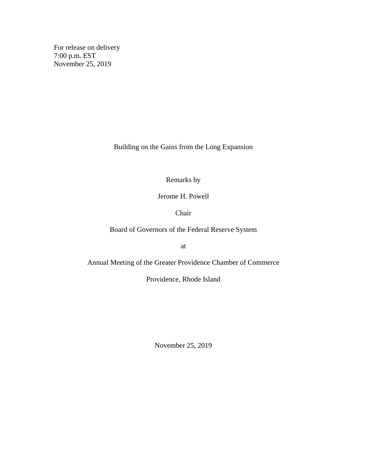For release on delivery 7:00 p.m. EST November 25, 2019

Building on the Gains from the Long Expansion

Remarks by

Jerome H. Powell

Chair

Board of Governors of the Federal Reserve System

at

Annual Meeting of the Greater Providence Chamber of Commerce

Providence, Rhode Island

November 25, 2019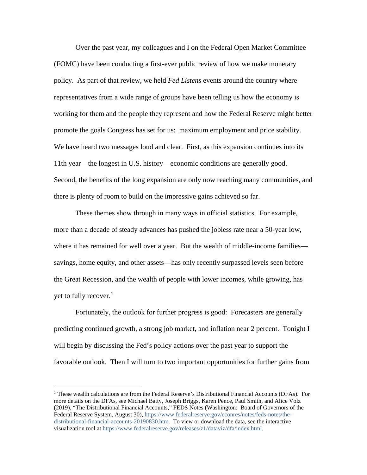Over the past year, my colleagues and I on the Federal Open Market Committee (FOMC) have been conducting a first-ever public review of how we make monetary policy. As part of that review, we held *Fed Listens* events around the country where representatives from a wide range of groups have been telling us how the economy is working for them and the people they represent and how the Federal Reserve might better promote the goals Congress has set for us: maximum employment and price stability. We have heard two messages loud and clear. First, as this expansion continues into its 11th year—the longest in U.S. history—economic conditions are generally good. Second, the benefits of the long expansion are only now reaching many communities, and there is plenty of room to build on the impressive gains achieved so far.

These themes show through in many ways in official statistics. For example, more than a decade of steady advances has pushed the jobless rate near a 50-year low, where it has remained for well over a year. But the wealth of middle-income families savings, home equity, and other assets—has only recently surpassed levels seen before the Great Recession, and the wealth of people with lower incomes, while growing, has yet to fully recover.<sup>[1](#page-1-0)</sup>

Fortunately, the outlook for further progress is good: Forecasters are generally predicting continued growth, a strong job market, and inflation near 2 percent. Tonight I will begin by discussing the Fed's policy actions over the past year to support the favorable outlook. Then I will turn to two important opportunities for further gains from

<span id="page-1-0"></span><sup>1</sup> These wealth calculations are from the Federal Reserve's Distributional Financial Accounts (DFAs). For more details on the DFAs, see Michael Batty, Joseph Briggs, Karen Pence, Paul Smith, and Alice Volz (2019), "The Distributional Financial Accounts," FEDS Notes (Washington: Board of Governors of the Federal Reserve System, August 30), [https://www.federalreserve.gov/econres/notes/feds-notes/the](https://www.federalreserve.gov/econres/notes/feds-notes/the-distributional-financial-accounts-20190830.htm)[distributional-financial-accounts-20190830.htm.](https://www.federalreserve.gov/econres/notes/feds-notes/the-distributional-financial-accounts-20190830.htm) To view or download the data, see the interactive visualization tool at [https://www.federalreserve.gov/releases/z1/dataviz/dfa/index.html.](https://www.federalreserve.gov/releases/z1/dataviz/dfa/index.html)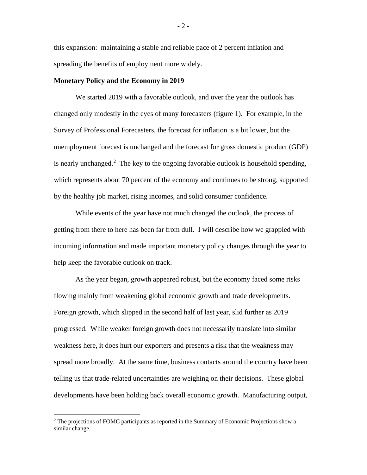this expansion: maintaining a stable and reliable pace of 2 percent inflation and spreading the benefits of employment more widely.

#### **Monetary Policy and the Economy in 2019**

We started 2019 with a favorable outlook, and over the year the outlook has changed only modestly in the eyes of many forecasters (figure 1). For example, in the Survey of Professional Forecasters, the forecast for inflation is a bit lower, but the unemployment forecast is unchanged and the forecast for gross domestic product (GDP) is nearly unchanged.<sup>[2](#page-2-0)</sup> The key to the ongoing favorable outlook is household spending, which represents about 70 percent of the economy and continues to be strong, supported by the healthy job market, rising incomes, and solid consumer confidence.

While events of the year have not much changed the outlook, the process of getting from there to here has been far from dull. I will describe how we grappled with incoming information and made important monetary policy changes through the year to help keep the favorable outlook on track.

As the year began, growth appeared robust, but the economy faced some risks flowing mainly from weakening global economic growth and trade developments. Foreign growth, which slipped in the second half of last year, slid further as 2019 progressed. While weaker foreign growth does not necessarily translate into similar weakness here, it does hurt our exporters and presents a risk that the weakness may spread more broadly. At the same time, business contacts around the country have been telling us that trade-related uncertainties are weighing on their decisions. These global developments have been holding back overall economic growth. Manufacturing output,

<span id="page-2-0"></span><sup>&</sup>lt;sup>2</sup> The projections of FOMC participants as reported in the Summary of Economic Projections show a similar change.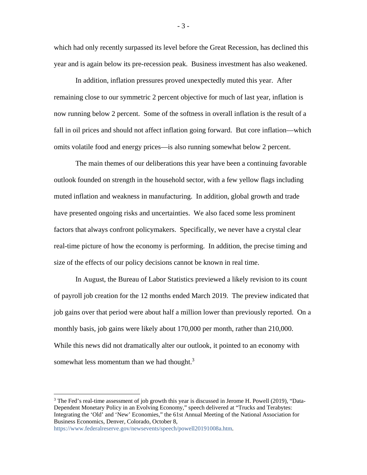which had only recently surpassed its level before the Great Recession, has declined this year and is again below its pre-recession peak. Business investment has also weakened.

In addition, inflation pressures proved unexpectedly muted this year. After remaining close to our symmetric 2 percent objective for much of last year, inflation is now running below 2 percent. Some of the softness in overall inflation is the result of a fall in oil prices and should not affect inflation going forward. But core inflation—which omits volatile food and energy prices—is also running somewhat below 2 percent.

The main themes of our deliberations this year have been a continuing favorable outlook founded on strength in the household sector, with a few yellow flags including muted inflation and weakness in manufacturing. In addition, global growth and trade have presented ongoing risks and uncertainties. We also faced some less prominent factors that always confront policymakers. Specifically, we never have a crystal clear real-time picture of how the economy is performing. In addition, the precise timing and size of the effects of our policy decisions cannot be known in real time.

In August, the Bureau of Labor Statistics previewed a likely revision to its count of payroll job creation for the 12 months ended March 2019. The preview indicated that job gains over that period were about half a million lower than previously reported. On a monthly basis, job gains were likely about 170,000 per month, rather than 210,000. While this news did not dramatically alter our outlook, it pointed to an economy with somewhat less momentum than we had thought. $3$ 

- 3 -

<sup>&</sup>lt;sup>3</sup> The Fed's real-time assessment of job growth this year is discussed in Jerome H. Powell (2019), "Data-Dependent Monetary Policy in an Evolving Economy," speech delivered at "Trucks and Terabytes: Integrating the 'Old' and 'New' Economies," the 61st Annual Meeting of the National Association for Business Economics, Denver, Colorado, October 8,

[https://www.federalreserve.gov/newsevents/speech/powell20191008a.htm.](https://www.federalreserve.gov/newsevents/speech/powell20191008a.htm)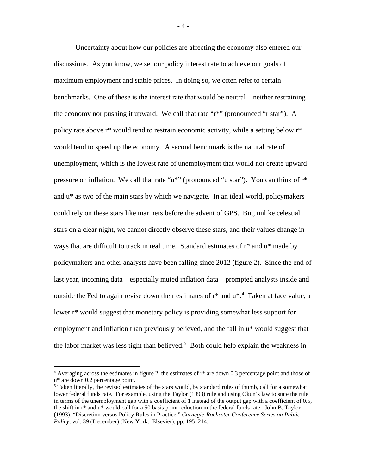Uncertainty about how our policies are affecting the economy also entered our discussions. As you know, we set our policy interest rate to achieve our goals of maximum employment and stable prices. In doing so, we often refer to certain benchmarks. One of these is the interest rate that would be neutral—neither restraining the economy nor pushing it upward. We call that rate "r\*" (pronounced "r star"). A policy rate above r\* would tend to restrain economic activity, while a setting below r\* would tend to speed up the economy. A second benchmark is the natural rate of unemployment, which is the lowest rate of unemployment that would not create upward pressure on inflation. We call that rate "u\*" (pronounced "u star"). You can think of r\* and u\* as two of the main stars by which we navigate. In an ideal world, policymakers could rely on these stars like mariners before the advent of GPS. But, unlike celestial stars on a clear night, we cannot directly observe these stars, and their values change in ways that are difficult to track in real time. Standard estimates of r\* and u\* made by policymakers and other analysts have been falling since 2012 (figure 2). Since the end of last year, incoming data—especially muted inflation data—prompted analysts inside and outside the Fed to again revise down their estimates of  $r^*$  and  $u^*$ .<sup>[4](#page-4-0)</sup> Taken at face value, a lower r\* would suggest that monetary policy is providing somewhat less support for employment and inflation than previously believed, and the fall in u\* would suggest that the labor market was less tight than believed.<sup>[5](#page-4-1)</sup> Both could help explain the weakness in

<span id="page-4-0"></span> $4$  Averaging across the estimates in figure 2, the estimates of  $r^*$  are down 0.3 percentage point and those of u\* are down 0.2 percentage point.

<span id="page-4-1"></span><sup>&</sup>lt;sup>5</sup> Taken literally, the revised estimates of the stars would, by standard rules of thumb, call for a somewhat lower federal funds rate. For example, using the Taylor (1993) rule and using Okun's law to state the rule in terms of the unemployment gap with a coefficient of 1 instead of the output gap with a coefficient of 0.5, the shift in r\* and u\* would call for a 50 basis point reduction in the federal funds rate. John B. Taylor (1993), "Discretion versus Policy Rules in Practice," *Carnegie-Rochester Conference Series on Public Policy,* vol. 39 (December) (New York: Elsevier), pp. 195–214.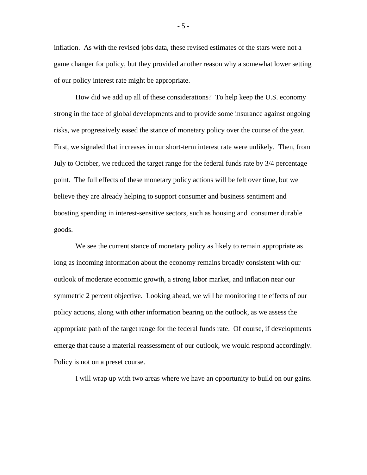inflation. As with the revised jobs data, these revised estimates of the stars were not a game changer for policy, but they provided another reason why a somewhat lower setting of our policy interest rate might be appropriate.

How did we add up all of these considerations? To help keep the U.S. economy strong in the face of global developments and to provide some insurance against ongoing risks, we progressively eased the stance of monetary policy over the course of the year. First, we signaled that increases in our short-term interest rate were unlikely. Then, from July to October, we reduced the target range for the federal funds rate by 3/4 percentage point. The full effects of these monetary policy actions will be felt over time, but we believe they are already helping to support consumer and business sentiment and boosting spending in interest-sensitive sectors, such as housing and consumer durable goods.

We see the current stance of monetary policy as likely to remain appropriate as long as incoming information about the economy remains broadly consistent with our outlook of moderate economic growth, a strong labor market, and inflation near our symmetric 2 percent objective. Looking ahead, we will be monitoring the effects of our policy actions, along with other information bearing on the outlook, as we assess the appropriate path of the target range for the federal funds rate. Of course, if developments emerge that cause a material reassessment of our outlook, we would respond accordingly. Policy is not on a preset course.

I will wrap up with two areas where we have an opportunity to build on our gains.

- 5 -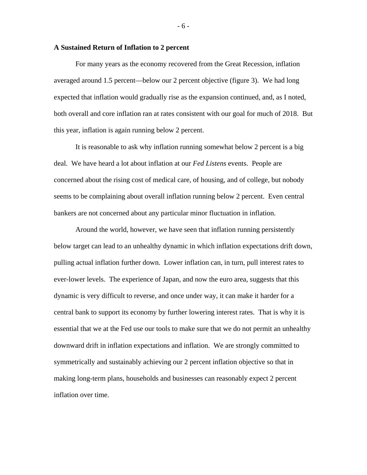#### **A Sustained Return of Inflation to 2 percent**

For many years as the economy recovered from the Great Recession, inflation averaged around 1.5 percent—below our 2 percent objective (figure 3). We had long expected that inflation would gradually rise as the expansion continued, and, as I noted, both overall and core inflation ran at rates consistent with our goal for much of 2018. But this year, inflation is again running below 2 percent.

It is reasonable to ask why inflation running somewhat below 2 percent is a big deal. We have heard a lot about inflation at our *Fed Listens* events. People are concerned about the rising cost of medical care, of housing, and of college, but nobody seems to be complaining about overall inflation running below 2 percent. Even central bankers are not concerned about any particular minor fluctuation in inflation.

Around the world, however, we have seen that inflation running persistently below target can lead to an unhealthy dynamic in which inflation expectations drift down, pulling actual inflation further down. Lower inflation can, in turn, pull interest rates to ever-lower levels. The experience of Japan, and now the euro area, suggests that this dynamic is very difficult to reverse, and once under way, it can make it harder for a central bank to support its economy by further lowering interest rates. That is why it is essential that we at the Fed use our tools to make sure that we do not permit an unhealthy downward drift in inflation expectations and inflation. We are strongly committed to symmetrically and sustainably achieving our 2 percent inflation objective so that in making long-term plans, households and businesses can reasonably expect 2 percent inflation over time.

#### - 6 -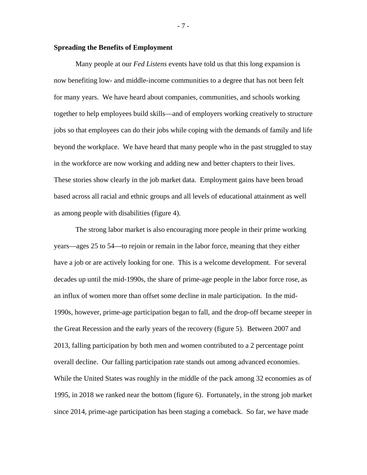### **Spreading the Benefits of Employment**

Many people at our *Fed Listens* events have told us that this long expansion is now benefiting low- and middle-income communities to a degree that has not been felt for many years. We have heard about companies, communities, and schools working together to help employees build skills—and of employers working creatively to structure jobs so that employees can do their jobs while coping with the demands of family and life beyond the workplace. We have heard that many people who in the past struggled to stay in the workforce are now working and adding new and better chapters to their lives. These stories show clearly in the job market data. Employment gains have been broad based across all racial and ethnic groups and all levels of educational attainment as well as among people with disabilities (figure 4).

The strong labor market is also encouraging more people in their prime working years—ages 25 to 54—to rejoin or remain in the labor force, meaning that they either have a job or are actively looking for one. This is a welcome development. For several decades up until the mid-1990s, the share of prime-age people in the labor force rose, as an influx of women more than offset some decline in male participation. In the mid-1990s, however, prime-age participation began to fall, and the drop-off became steeper in the Great Recession and the early years of the recovery (figure 5). Between 2007 and 2013, falling participation by both men and women contributed to a 2 percentage point overall decline. Our falling participation rate stands out among advanced economies. While the United States was roughly in the middle of the pack among 32 economies as of 1995, in 2018 we ranked near the bottom (figure 6). Fortunately, in the strong job market since 2014, prime-age participation has been staging a comeback. So far, we have made

- 7 -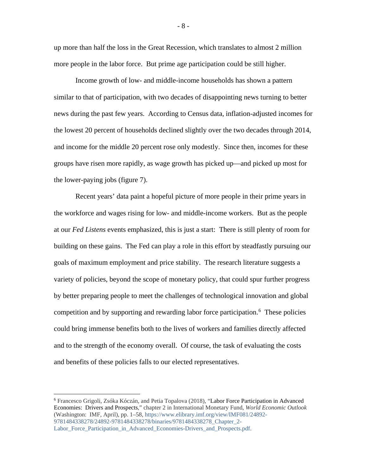up more than half the loss in the Great Recession, which translates to almost 2 million more people in the labor force. But prime age participation could be still higher.

Income growth of low- and middle-income households has shown a pattern similar to that of participation, with two decades of disappointing news turning to better news during the past few years. According to Census data, inflation-adjusted incomes for the lowest 20 percent of households declined slightly over the two decades through 2014, and income for the middle 20 percent rose only modestly. Since then, incomes for these groups have risen more rapidly, as wage growth has picked up—and picked up most for the lower-paying jobs (figure 7).

Recent years' data paint a hopeful picture of more people in their prime years in the workforce and wages rising for low- and middle-income workers. But as the people at our *Fed Listens* events emphasized, this is just a start: There is still plenty of room for building on these gains. The Fed can play a role in this effort by steadfastly pursuing our goals of maximum employment and price stability. The research literature suggests a variety of policies, beyond the scope of monetary policy, that could spur further progress by better preparing people to meet the challenges of technological innovation and global competition and by supporting and rewarding labor force participation.<sup>[6](#page-8-0)</sup> These policies could bring immense benefits both to the lives of workers and families directly affected and to the strength of the economy overall. Of course, the task of evaluating the costs and benefits of these policies falls to our elected representatives.

- 8 -

<span id="page-8-0"></span> <sup>6</sup> Francesco Grigoli, Zsóka Kóczán, and Petia Topalova (2018), "Labor Force Participation in Advanced Economies: Drivers and Prospects," chapter 2 in International Monetary Fund, *World Economic Outlook* (Washington: IMF, April), pp. 1–58, [https://www.elibrary.imf.org/view/IMF081/24892-](https://www.elibrary.imf.org/view/IMF081/24892-9781484338278/24892-9781484338278/binaries/9781484338278_Chapter_2-Labor_Force_Participation_in_Advanced_Economies-Drivers_and_Prospects.pdf) [9781484338278/24892-9781484338278/binaries/9781484338278\\_Chapter\\_2-](https://www.elibrary.imf.org/view/IMF081/24892-9781484338278/24892-9781484338278/binaries/9781484338278_Chapter_2-Labor_Force_Participation_in_Advanced_Economies-Drivers_and_Prospects.pdf) Labor Force Participation in Advanced Economies-Drivers and Prospects.pdf.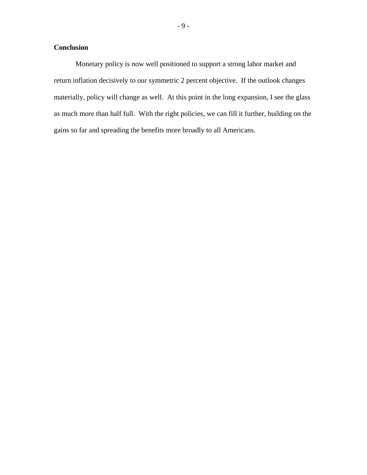## **Conclusion**

Monetary policy is now well positioned to support a strong labor market and return inflation decisively to our symmetric 2 percent objective. If the outlook changes materially, policy will change as well. At this point in the long expansion, I see the glass as much more than half full. With the right policies, we can fill it further, building on the gains so far and spreading the benefits more broadly to all Americans.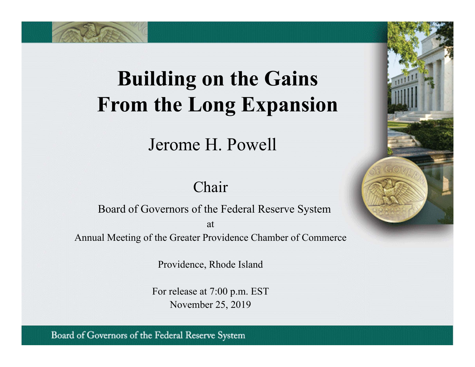# **Building on the Gains From the Long Expansion**

Jerome H. Powell

# Chair

Board of Governors of the Federal Reserve System atAnnual Meeting of the Greater Providence Chamber of Commerce

Providence, Rhode Island

For release at 7:00 p.m. EST November 25, 2019

Board of Governors of the Federal Reserve System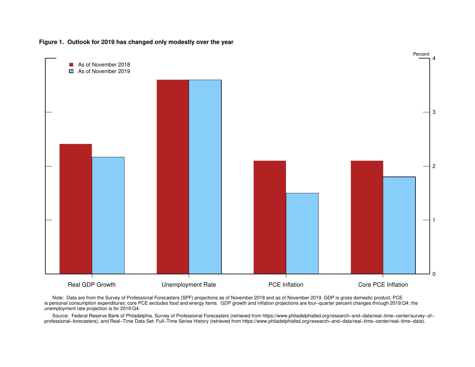



 Note: Data are from the Survey of Professional Forecasters (SPF) projections as of November 2018 and as of November 2019. GDP is gross domestic product; PCE is personal consumption expenditures; core PCE excludes food and energy items. GDP growth and inflation projections are four−quarter percent changes through 2019:Q4; theunemployment rate projection is for 2019:Q4.

 Source: Federal Reserve Bank of Philadelphia, Survey of Professional Forecasters (retrieved from https://www.philadelphiafed.org/research−and−data/real−time−center/survey−of−professional−forecasters), and Real−Time Data Set: Full−Time Series History (retrieved from https://www.philadelphiafed.org/research−and−data/real−time−center/real−time−data).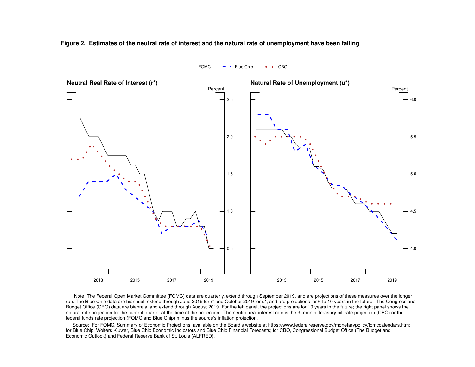**Figure 2. Estimates of the neutral rate of interest and the natural rate of unemployment have been falling**

 $FOMC$  - Blue Chip  $\cdot \cdot$  CBO



 Note: The Federal Open Market Committee (FOMC) data are quarterly, extend through September 2019, and are projections of these measures over the longer run. The Blue Chip data are biannual, extend through June 2019 for r\* and October 2019 for u\*, and are projections for 6 to 10 years in the future. The CongressionalBudget Office (CBO) data are biannual and extend through August 2019. For the left panel, the projections are for 10 years in the future; the right panel shows the natural rate projection for the current quarter at the time of the projection. The neutral real interest rate is the 3–month Treasury bill rate projection (CBO) or the federal funds rate projection (FOMC and Blue Chip) minus the source's inflation projection.

 Source: For FOMC, Summary of Economic Projections, available on the Board's website at https://www.federalreserve.gov/monetarypolicy/fomccalendars.htm; for Blue Chip, Wolters Kluwer, Blue Chip Economic Indicators and Blue Chip Financial Forecasts; for CBO, Congressional Budget Office (The Budget andEconomic Outlook) and Federal Reserve Bank of St. Louis (ALFRED).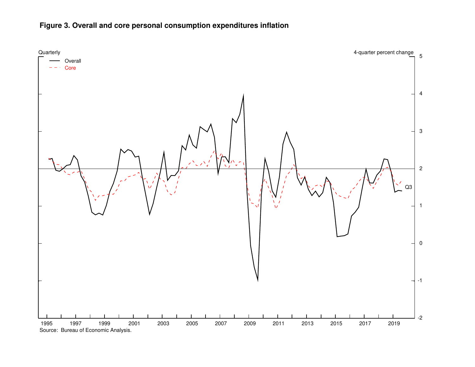

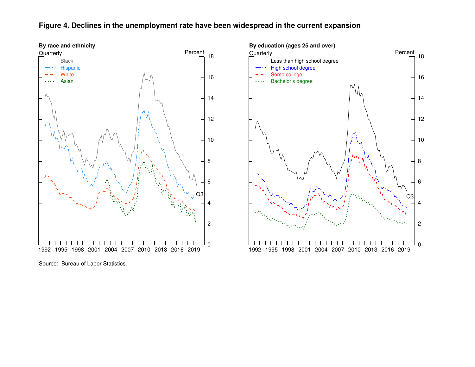# **Figure 4. Declines in the unemployment rate have been widespread in the current expansion**



Source: Bureau of Labor Statistics.

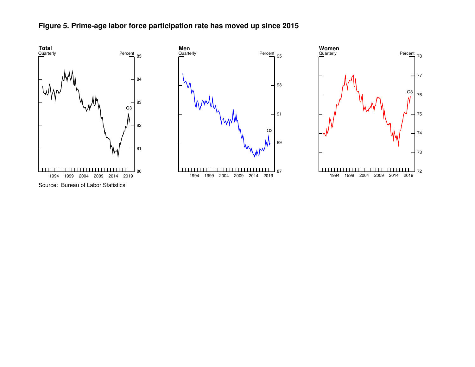



72

73

74

75

76

Q3

77

Source: Bureau of Labor Statistics.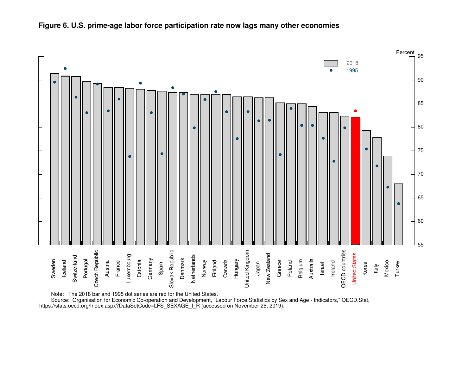

# **Figure 6. U.S. prime-age labor force participation rate now lags many other economies**

Note: The 2018 bar and 1995 dot series are red for the United States.

Source: Organisation for Economic Co-operation and Development, "Labour Force Statistics by Sex and Age - Indicators," OECD.Stat, https://stats.oecd.org/Index.aspx?DataSetCode=LFS\_SEXAGE\_I\_R (accessed on November 25, 2019).